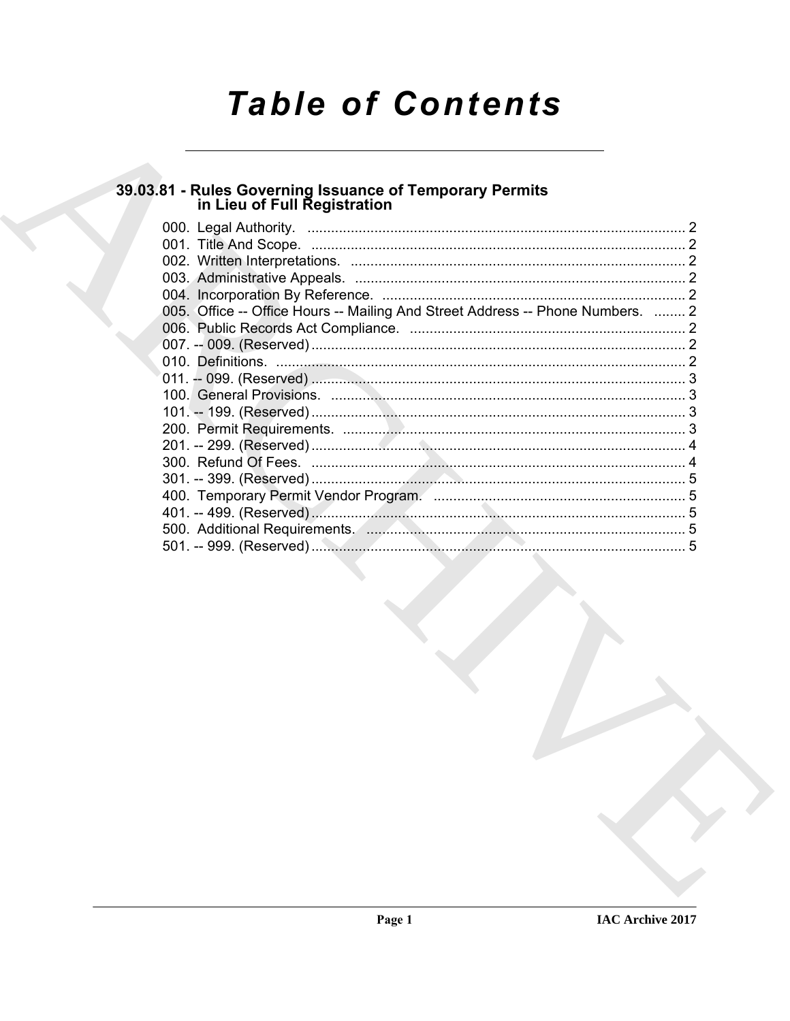# **Table of Contents**

# 39.03.81 - Rules Governing Issuance of Temporary Permits<br>in Lieu of Full Registration

| 005. Office -- Office Hours -- Mailing And Street Address -- Phone Numbers.  2 |  |
|--------------------------------------------------------------------------------|--|
|                                                                                |  |
|                                                                                |  |
|                                                                                |  |
|                                                                                |  |
|                                                                                |  |
|                                                                                |  |
|                                                                                |  |
|                                                                                |  |
|                                                                                |  |
|                                                                                |  |
|                                                                                |  |
|                                                                                |  |
|                                                                                |  |
|                                                                                |  |
|                                                                                |  |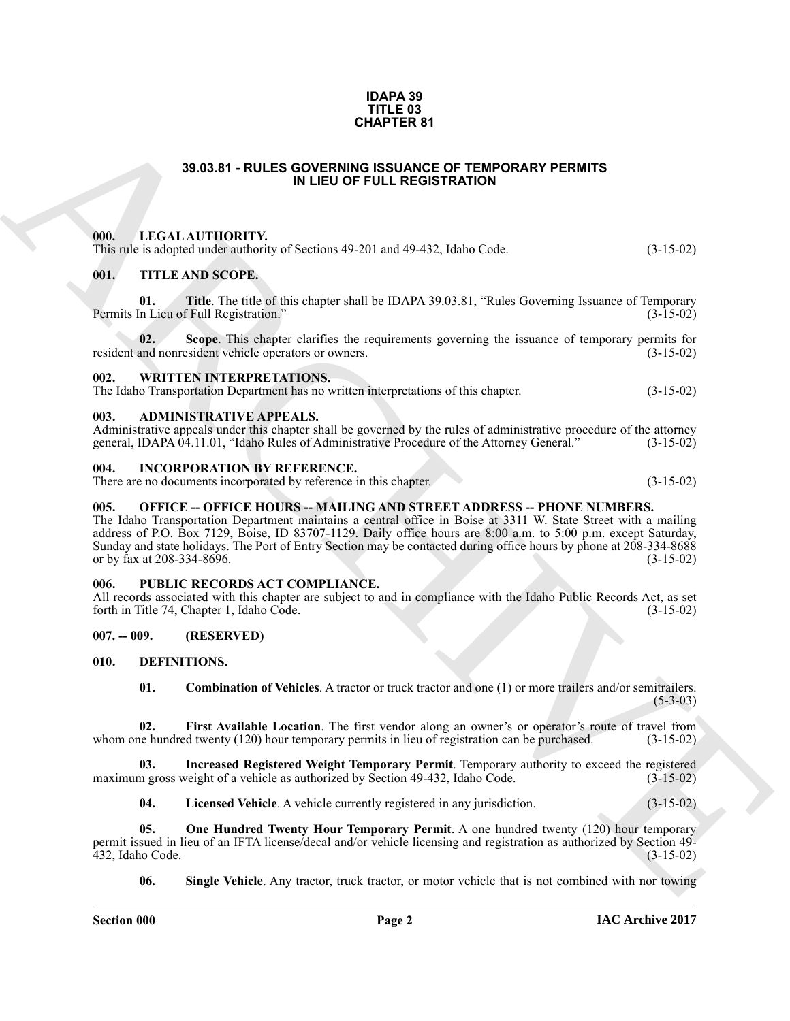#### **IDAPA 39 TITLE 03 CHAPTER 81**

#### **39.03.81 - RULES GOVERNING ISSUANCE OF TEMPORARY PERMITS IN LIEU OF FULL REGISTRATION**

#### <span id="page-1-2"></span><span id="page-1-1"></span><span id="page-1-0"></span>**000. LEGAL AUTHORITY.** This rule is adopted under authority of Sections 49-201 and 49-432, Idaho Code. (3-15-02)

| <b>CHAPTER 81</b>                  |                                                                                                                                                                                                                                                                                                                                                                                                                                         |             |  |
|------------------------------------|-----------------------------------------------------------------------------------------------------------------------------------------------------------------------------------------------------------------------------------------------------------------------------------------------------------------------------------------------------------------------------------------------------------------------------------------|-------------|--|
|                                    | 39.03.81 - RULES GOVERNING ISSUANCE OF TEMPORARY PERMITS<br>IN LIEU OF FULL REGISTRATION                                                                                                                                                                                                                                                                                                                                                |             |  |
| 000.                               | LEGAL AUTHORITY.<br>This rule is adopted under authority of Sections 49-201 and 49-432, Idaho Code.                                                                                                                                                                                                                                                                                                                                     | $(3-15-02)$ |  |
| 001.                               | <b>TITLE AND SCOPE.</b>                                                                                                                                                                                                                                                                                                                                                                                                                 |             |  |
| 01.                                | Title. The title of this chapter shall be IDAPA 39.03.81, "Rules Governing Issuance of Temporary<br>Permits In Lieu of Full Registration."                                                                                                                                                                                                                                                                                              | $(3-15-02)$ |  |
| 02.                                | Scope. This chapter clarifies the requirements governing the issuance of temporary permits for<br>resident and nonresident vehicle operators or owners.                                                                                                                                                                                                                                                                                 | $(3-15-02)$ |  |
| 002.                               | <b>WRITTEN INTERPRETATIONS.</b><br>The Idaho Transportation Department has no written interpretations of this chapter.                                                                                                                                                                                                                                                                                                                  | $(3-15-02)$ |  |
| 003.                               | <b>ADMINISTRATIVE APPEALS.</b><br>Administrative appeals under this chapter shall be governed by the rules of administrative procedure of the attorney<br>general, IDAPA 04.11.01, "Idaho Rules of Administrative Procedure of the Attorney General."                                                                                                                                                                                   | $(3-15-02)$ |  |
| 004.                               | <b>INCORPORATION BY REFERENCE.</b><br>There are no documents incorporated by reference in this chapter.                                                                                                                                                                                                                                                                                                                                 | $(3-15-02)$ |  |
| 005.<br>or by fax at 208-334-8696. | <b>OFFICE -- OFFICE HOURS -- MAILING AND STREET ADDRESS -- PHONE NUMBERS.</b><br>The Idaho Transportation Department maintains a central office in Boise at 3311 W. State Street with a mailing<br>address of P.O. Box 7129, Boise, ID 83707-1129. Daily office hours are 8:00 a.m. to 5:00 p.m. except Saturday,<br>Sunday and state holidays. The Port of Entry Section may be contacted during office hours by phone at 208-334-8688 | $(3-15-02)$ |  |
| 006.                               | PUBLIC RECORDS ACT COMPLIANCE.<br>All records associated with this chapter are subject to and in compliance with the Idaho Public Records Act, as set<br>forth in Title 74, Chapter 1, Idaho Code.                                                                                                                                                                                                                                      | $(3-15-02)$ |  |
| $007. - 009.$                      | (RESERVED)                                                                                                                                                                                                                                                                                                                                                                                                                              |             |  |
| 010.                               | DEFINITIONS.                                                                                                                                                                                                                                                                                                                                                                                                                            |             |  |
| 01.                                | <b>Combination of Vehicles.</b> A tractor or truck tractor and one (1) or more trailers and/or semitrailers.                                                                                                                                                                                                                                                                                                                            | $(5-3-03)$  |  |
| 02.                                | First Available Location. The first vendor along an owner's or operator's route of travel from<br>whom one hundred twenty (120) hour temporary permits in lieu of registration can be purchased.                                                                                                                                                                                                                                        | $(3-15-02)$ |  |
| 03.                                | Increased Registered Weight Temporary Permit. Temporary authority to exceed the registered<br>maximum gross weight of a vehicle as authorized by Section 49-432, Idaho Code.                                                                                                                                                                                                                                                            | $(3-15-02)$ |  |
| 04.                                | Licensed Vehicle. A vehicle currently registered in any jurisdiction.                                                                                                                                                                                                                                                                                                                                                                   | $(3-15-02)$ |  |
| 05.<br>432, Idaho Code.            | One Hundred Twenty Hour Temporary Permit. A one hundred twenty (120) hour temporary<br>permit issued in lieu of an IFTA license/decal and/or vehicle licensing and registration as authorized by Section 49-                                                                                                                                                                                                                            | $(3-15-02)$ |  |
| 06.                                | <b>Single Vehicle.</b> Any tractor, truck tractor, or motor vehicle that is not combined with nor towing                                                                                                                                                                                                                                                                                                                                |             |  |

#### <span id="page-1-5"></span><span id="page-1-4"></span><span id="page-1-3"></span>**004. INCORPORATION BY REFERENCE.**

#### <span id="page-1-6"></span>005. OFFICE -- OFFICE HOURS -- MAILING AND STREET ADDRESS -- PHONE NUMBERS.

#### <span id="page-1-16"></span><span id="page-1-15"></span><span id="page-1-14"></span><span id="page-1-13"></span><span id="page-1-12"></span><span id="page-1-11"></span><span id="page-1-10"></span><span id="page-1-9"></span><span id="page-1-8"></span><span id="page-1-7"></span>**006. PUBLIC RECORDS ACT COMPLIANCE.**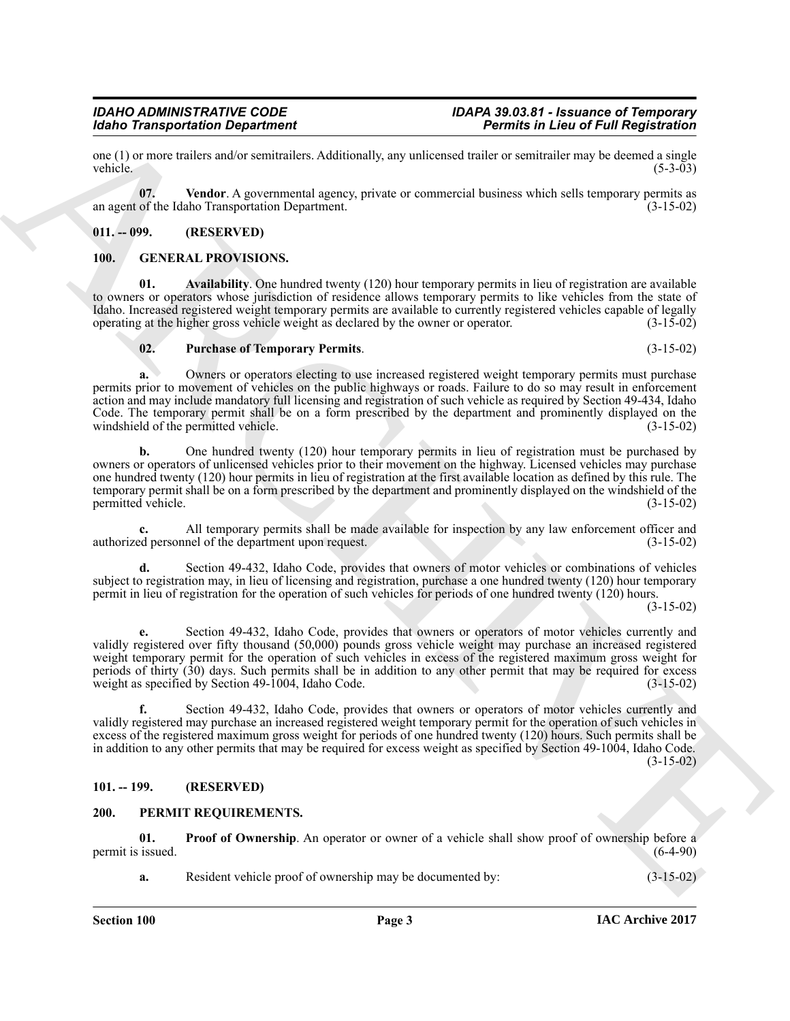#### one (1) or more trailers and/or semitrailers. Additionally, any unlicensed trailer or semitrailer may be deemed a single vehicle.  $(5-3-03)$

<span id="page-2-4"></span>**07. Vendor**. A governmental agency, private or commercial business which sells temporary permits as an agent of the Idaho Transportation Department. (3-15-02)

*IDAHO ADMINISTRATIVE CODE IDAPA 39.03.81 - Issuance of Temporary*

## <span id="page-2-0"></span>**011. -- 099. (RESERVED)**

#### <span id="page-2-5"></span><span id="page-2-1"></span>**100. GENERAL PROVISIONS.**

**01. Availability**. One hundred twenty (120) hour temporary permits in lieu of registration are available to owners or operators whose jurisdiction of residence allows temporary permits to like vehicles from the state of Idaho. Increased registered weight temporary permits are available to currently registered vehicles capable of legally operating at the higher gross vehicle weight as declared by the owner or operator. (3-15-02) operating at the higher gross vehicle weight as declared by the owner or operator. (3-15-02)

#### <span id="page-2-7"></span><span id="page-2-6"></span>**02. Purchase of Temporary Permits**. (3-15-02)

*Idaho Transportation Department Permits in Lieu of Full Registration*

**a.** Owners or operators electing to use increased registered weight temporary permits must purchase permits prior to movement of vehicles on the public highways or roads. Failure to do so may result in enforcement action and may include mandatory full licensing and registration of such vehicle as required by Section 49-434, Idaho Code. The temporary permit shall be on a form prescribed by the department and prominently displayed on the windshield of the permitted vehicle. (3-15-02) windshield of the permitted vehicle.

**b.** One hundred twenty (120) hour temporary permits in lieu of registration must be purchased by owners or operators of unlicensed vehicles prior to their movement on the highway. Licensed vehicles may purchase one hundred twenty (120) hour permits in lieu of registration at the first available location as defined by this rule. The temporary permit shall be on a form prescribed by the department and prominently displayed on the windshield of the permitted vehicle. (3-15-02) permitted vehicle.

All temporary permits shall be made available for inspection by any law enforcement officer and nel of the department upon request.  $(3-15-02)$ authorized personnel of the department upon request.

**d.** Section 49-432, Idaho Code, provides that owners of motor vehicles or combinations of vehicles subject to registration may, in lieu of licensing and registration, purchase a one hundred twenty (120) hour temporary permit in lieu of registration for the operation of such vehicles for periods of one hundred twenty (120) hours.

(3-15-02)

Month Transportation Department<br>
one (2). Yealth A persuation the distinctive control of the state of the state of the state of the state of the state of the state of the state of the state of the state of the state of th **e.** Section 49-432, Idaho Code, provides that owners or operators of motor vehicles currently and validly registered over fifty thousand (50,000) pounds gross vehicle weight may purchase an increased registered weight temporary permit for the operation of such vehicles in excess of the registered maximum gross weight for periods of thirty (30) days. Such permits shall be in addition to any other permit that may be required for excess weight as specified by Section 49-1004, Idaho Code. (3-15-02)

**f.** Section 49-432, Idaho Code, provides that owners or operators of motor vehicles currently and validly registered may purchase an increased registered weight temporary permit for the operation of such vehicles in excess of the registered maximum gross weight for periods of one hundred twenty (120) hours. Such permits shall be in addition to any other permits that may be required for excess weight as specified by Section 49-1004, Idaho Code. (3-15-02)

# <span id="page-2-2"></span>**101. -- 199. (RESERVED)**

## <span id="page-2-8"></span><span id="page-2-3"></span>**200. PERMIT REQUIREMENTS.**

**01. Proof of Ownership**. An operator or owner of a vehicle shall show proof of ownership before a issued.  $(6-4-90)$ permit is issued.

<span id="page-2-9"></span>**a.** Resident vehicle proof of ownership may be documented by:  $(3-15-02)$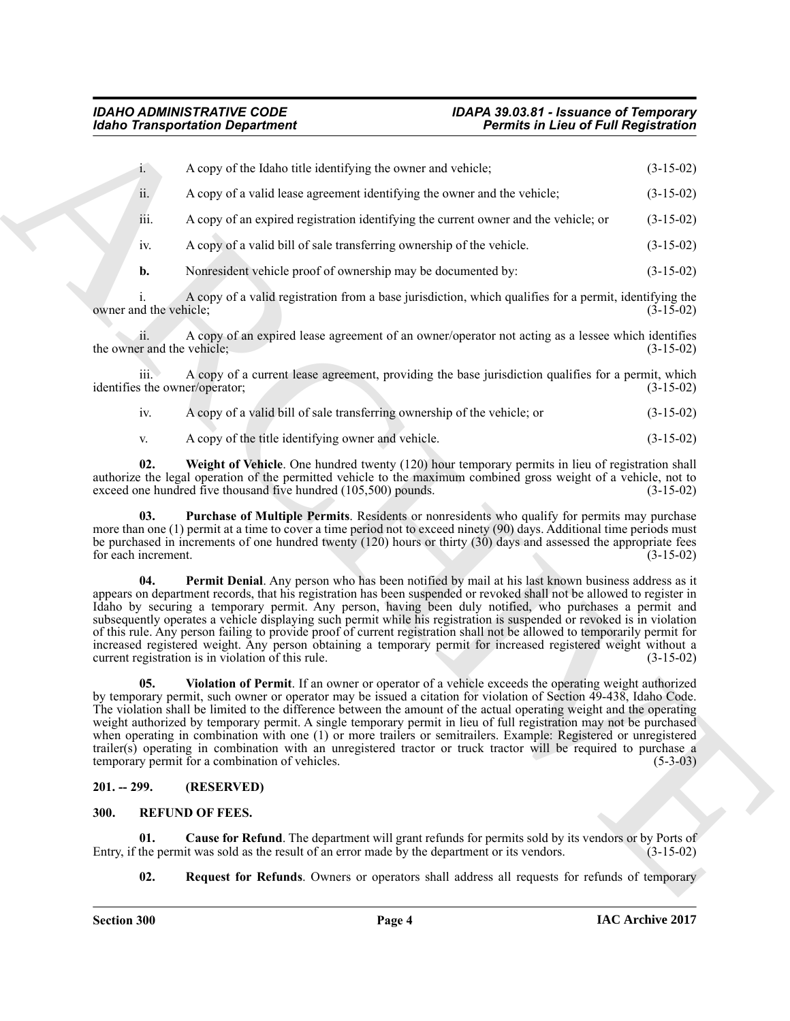|                                   | <b>Idaho Transportation Department</b>                                                                                                                                                                                                                                                                                                                                                                                                                                                                                                                                                                                                                                                                                                                             | <b>Permits in Lieu of Full Registration</b> |
|-----------------------------------|--------------------------------------------------------------------------------------------------------------------------------------------------------------------------------------------------------------------------------------------------------------------------------------------------------------------------------------------------------------------------------------------------------------------------------------------------------------------------------------------------------------------------------------------------------------------------------------------------------------------------------------------------------------------------------------------------------------------------------------------------------------------|---------------------------------------------|
| $1 -$                             | A copy of the Idaho title identifying the owner and vehicle;                                                                                                                                                                                                                                                                                                                                                                                                                                                                                                                                                                                                                                                                                                       | $(3-15-02)$                                 |
| ii.                               | A copy of a valid lease agreement identifying the owner and the vehicle;                                                                                                                                                                                                                                                                                                                                                                                                                                                                                                                                                                                                                                                                                           | $(3-15-02)$                                 |
| iii.                              | A copy of an expired registration identifying the current owner and the vehicle; or                                                                                                                                                                                                                                                                                                                                                                                                                                                                                                                                                                                                                                                                                | $(3-15-02)$                                 |
| 1V.                               | A copy of a valid bill of sale transferring ownership of the vehicle.                                                                                                                                                                                                                                                                                                                                                                                                                                                                                                                                                                                                                                                                                              | $(3-15-02)$                                 |
| $\mathbf{b}$ .                    | Nonresident vehicle proof of ownership may be documented by:                                                                                                                                                                                                                                                                                                                                                                                                                                                                                                                                                                                                                                                                                                       | $(3-15-02)$                                 |
| owner and the vehicle;            | A copy of a valid registration from a base jurisdiction, which qualifies for a permit, identifying the                                                                                                                                                                                                                                                                                                                                                                                                                                                                                                                                                                                                                                                             | $(3-15-02)$                                 |
| 11.<br>the owner and the vehicle; | A copy of an expired lease agreement of an owner/operator not acting as a lessee which identifies                                                                                                                                                                                                                                                                                                                                                                                                                                                                                                                                                                                                                                                                  | $(3-15-02)$                                 |
| iii.                              | A copy of a current lease agreement, providing the base jurisdiction qualifies for a permit, which<br>identifies the owner/operator;                                                                                                                                                                                                                                                                                                                                                                                                                                                                                                                                                                                                                               | $(3-15-02)$                                 |
| iv.                               | A copy of a valid bill of sale transferring ownership of the vehicle; or                                                                                                                                                                                                                                                                                                                                                                                                                                                                                                                                                                                                                                                                                           | $(3-15-02)$                                 |
| V.                                | A copy of the title identifying owner and vehicle.                                                                                                                                                                                                                                                                                                                                                                                                                                                                                                                                                                                                                                                                                                                 | $(3-15-02)$                                 |
| 02.                               | Weight of Vehicle. One hundred twenty (120) hour temporary permits in lieu of registration shall<br>authorize the legal operation of the permitted vehicle to the maximum combined gross weight of a vehicle, not to<br>exceed one hundred five thousand five hundred (105,500) pounds.                                                                                                                                                                                                                                                                                                                                                                                                                                                                            | $(3-15-02)$                                 |
| 03.<br>for each increment.        | Purchase of Multiple Permits. Residents or nonresidents who qualify for permits may purchase<br>more than one (1) permit at a time to cover a time period not to exceed ninety (90) days. Additional time periods must<br>be purchased in increments of one hundred twenty $(120)$ hours or thirty $(30)$ days and assessed the appropriate fees                                                                                                                                                                                                                                                                                                                                                                                                                   | $(3-15-02)$                                 |
| 04.                               | Permit Denial. Any person who has been notified by mail at his last known business address as it<br>appears on department records, that his registration has been suspended or revoked shall not be allowed to register in<br>Idaho by securing a temporary permit. Any person, having been duly notified, who purchases a permit and<br>subsequently operates a vehicle displaying such permit while his registration is suspended or revoked is in violation<br>of this rule. Any person failing to provide proof of current registration shall not be allowed to temporarily permit for<br>increased registered weight. Any person obtaining a temporary permit for increased registered weight without a<br>current registration is in violation of this rule. | $(3-15-02)$                                 |
| 05.                               | Violation of Permit. If an owner or operator of a vehicle exceeds the operating weight authorized<br>by temporary permit, such owner or operator may be issued a citation for violation of Section 49-438, Idaho Code.<br>The violation shall be limited to the difference between the amount of the actual operating weight and the operating<br>weight authorized by temporary permit. A single temporary permit in lieu of full registration may not be purchased<br>when operating in combination with one (1) or more trailers or semitrailers. Example: Registered or unregistered<br>trailer(s) operating in combination with an unregistered tractor or truck tractor will be required to purchase a<br>temporary permit for a combination of vehicles.    | $(5-3-03)$                                  |
| $201. - 299.$                     | (RESERVED)                                                                                                                                                                                                                                                                                                                                                                                                                                                                                                                                                                                                                                                                                                                                                         |                                             |
| 300.                              | <b>REFUND OF FEES.</b>                                                                                                                                                                                                                                                                                                                                                                                                                                                                                                                                                                                                                                                                                                                                             |                                             |
| 01.                               | <b>Cause for Refund</b> . The department will grant refunds for permits sold by its vendors or by Ports of<br>Entry, if the permit was sold as the result of an error made by the department or its vendors.                                                                                                                                                                                                                                                                                                                                                                                                                                                                                                                                                       | $(3-15-02)$                                 |

- iv. A copy of a valid bill of sale transferring ownership of the vehicle; or (3-15-02)
- <span id="page-3-5"></span><span id="page-3-3"></span><span id="page-3-2"></span>v. A copy of the title identifying owner and vehicle. (3-15-02)

#### <span id="page-3-4"></span><span id="page-3-0"></span>**201. -- 299. (RESERVED)**

#### <span id="page-3-8"></span><span id="page-3-7"></span><span id="page-3-6"></span><span id="page-3-1"></span>**300. REFUND OF FEES.**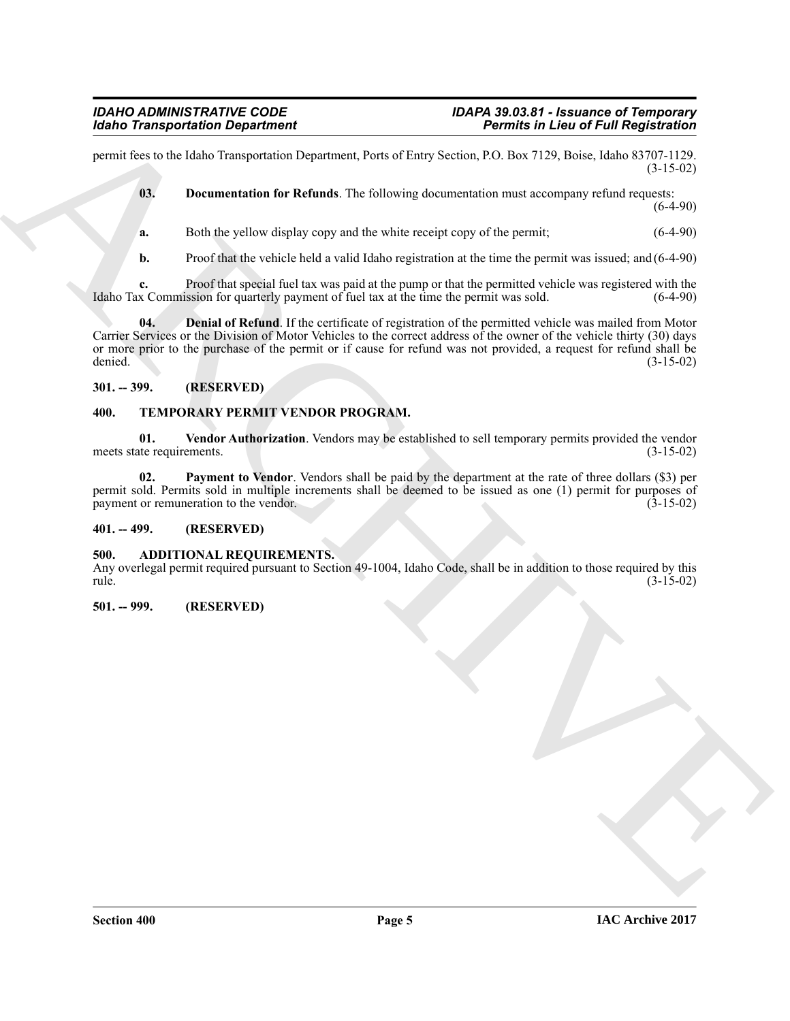permit fees to the Idaho Transportation Department, Ports of Entry Section, P.O. Box 7129, Boise, Idaho 83707-1129. (3-15-02)

<span id="page-4-7"></span>**03. Documentation for Refunds**. The following documentation must accompany refund requests: (6-4-90)

**a.** Both the yellow display copy and the white receipt copy of the permit; (6-4-90)

<span id="page-4-6"></span>**b.** Proof that the vehicle held a valid Idaho registration at the time the permit was issued; and (6-4-90)

**c.** Proof that special fuel tax was paid at the pump or that the permitted vehicle was registered with the x Commission for quarterly payment of fuel tax at the time the permit was sold. (6-4-90) Idaho Tax Commission for quarterly payment of fuel tax at the time the permit was sold.

Mother Transportation Department<br>
yount Kingdom Department<br>
yount Kingdom Department Department Networks (a) Society (b) Social Society (a) and SP (3-19-19<br>
W. Due uncertainty the Referred Rose of the society operation an **04. Denial of Refund**. If the certificate of registration of the permitted vehicle was mailed from Motor Carrier Services or the Division of Motor Vehicles to the correct address of the owner of the vehicle thirty (30) days or more prior to the purchase of the permit or if cause for refund was not provided, a request for refund shall be denied. (3-15-02) denied. (3-15-02)

#### <span id="page-4-0"></span>**301. -- 399. (RESERVED)**

#### <span id="page-4-8"></span><span id="page-4-1"></span>**400. TEMPORARY PERMIT VENDOR PROGRAM.**

<span id="page-4-10"></span>**01.** Vendor Authorization. Vendors may be established to sell temporary permits provided the vendor the requirements. (3-15-02) meets state requirements.

<span id="page-4-9"></span>**02. Payment to Vendor**. Vendors shall be paid by the department at the rate of three dollars (\$3) per permit sold. Permits sold in multiple increments shall be deemed to be issued as one (1) permit for purposes of payment or remuneration to the vendor. (3-15-02) payment or remuneration to the vendor.

#### <span id="page-4-2"></span>**401. -- 499. (RESERVED)**

#### <span id="page-4-5"></span><span id="page-4-3"></span>**500. ADDITIONAL REQUIREMENTS.**

Any overlegal permit required pursuant to Section 49-1004, Idaho Code, shall be in addition to those required by this rule. (3-15-02)

#### <span id="page-4-4"></span>**501. -- 999. (RESERVED)**